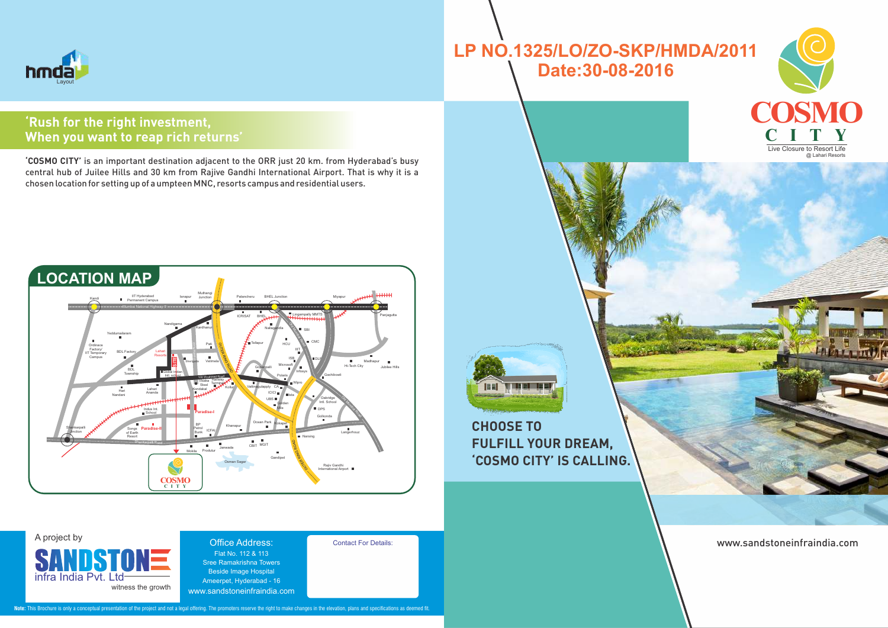

#### Office Address: Flat No. 112 & 113 Sree Ramakrishna Towers Beside Image Hospital Ameerpet, Hyderabad - 16 www.sandstoneinfraindia.com

# hmda Layout

## A project by

SANDSTON infra India Pyt. witness the growth Contact For Details:

www.sandstoneinfraindia.com





## **CHOOSE TO FULFILL YOUR DREAM, 'COSMO CITY' IS CALLING.**

Note: This Brochure is only a conceptual presentation of the project and not a legal offering. The promoters reserve the right to make changes in the elevation, plans and specifications as deemed fit.



**'COSMO CITY'** is an important destination adjacent to the ORR just 20 km. from Hyderabad's busy central hub of Juilee Hills and 30 km from Rajive Gandhi International Airport. That is why it is a chosen location for setting up of a umpteen MNC, resorts campus and residential users.

## **'Rush for the right investment, When you want to reap rich returns'**

# **LP NO.1325/LO/ZO-SKP/HMDA/2011 Date:30-08-2016**